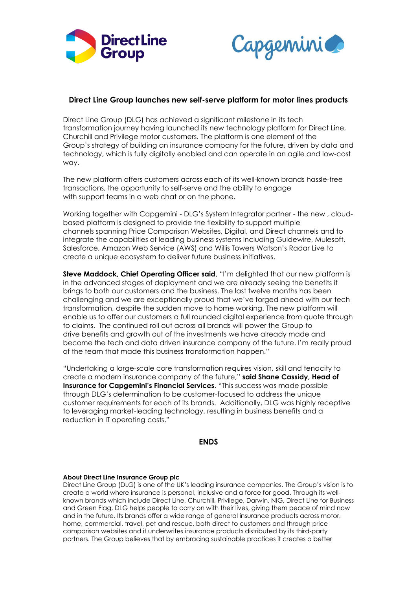



# **Direct Line Group launches new self-serve platform for motor lines products**

Direct Line Group (DLG) has achieved a significant milestone in its tech transformation journey having launched its new technology platform for Direct Line, Churchill and Privilege motor customers. The platform is one element of the Group's strategy of building an insurance company for the future, driven by data and technology, which is fully digitally enabled and can operate in an agile and low-cost way.

The new platform offers customers across each of its well-known brands hassle-free transactions, the opportunity to self-serve and the ability to engage with support teams in a web chat or on the phone.

Working together with Capgemini - DLG's System Integrator partner - the new , cloudbased platform is designed to provide the flexibility to support multiple channels spanning Price Comparison Websites, Digital, and Direct channels and to integrate the capabilities of leading business systems including Guidewire, Mulesoft, Salesforce, Amazon Web Service (AWS) and Willis Towers Watson's Radar Live to create a unique ecosystem to deliver future business initiatives.

**Steve Maddock, Chief Operating Officer said**, "I'm delighted that our new platform is in the advanced stages of deployment and we are already seeing the benefits it brings to both our customers and the business. The last twelve months has been challenging and we are exceptionally proud that we've forged ahead with our tech transformation, despite the sudden move to home working. The new platform will enable us to offer our customers a full rounded digital experience from quote through to claims. The continued roll out across all brands will power the Group to drive benefits and growth out of the investments we have already made and become the tech and data driven insurance company of the future. I'm really proud of the team that made this business transformation happen."

"Undertaking a large-scale core transformation requires vision, skill and tenacity to create a modern insurance company of the future," **said Shane Cassidy, Head of Insurance for Capgemini's Financial Services**. "This success was made possible through DLG's determination to be customer-focused to address the unique customer requirements for each of its brands. Additionally, DLG was highly receptive to leveraging market-leading technology, resulting in business benefits and a reduction in IT operating costs."

## **ENDS**

## **About Direct Line Insurance Group plc**

Direct Line Group (DLG) is one of the UK's leading insurance companies. The Group's vision is to create a world where insurance is personal, inclusive and a force for good. Through its wellknown brands which include Direct Line, Churchill, Privilege, Darwin, NIG, Direct Line for Business and Green Flag, DLG helps people to carry on with their lives, giving them peace of mind now and in the future. Its brands offer a wide range of general insurance products across motor, home, commercial, travel, pet and rescue, both direct to customers and through price comparison websites and it underwrites insurance products distributed by its third-party partners. The Group believes that by embracing sustainable practices it creates a better